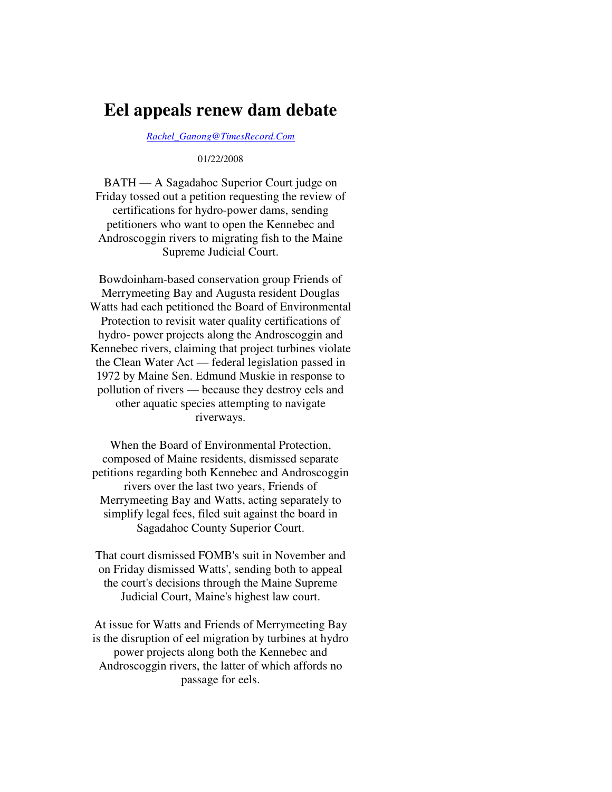## **Eel appeals renew dam debate**

*Rachel\_Ganong@TimesRecord.Com*

01/22/2008

BATH — A Sagadahoc Superior Court judge on Friday tossed out a petition requesting the review of certifications for hydro-power dams, sending petitioners who want to open the Kennebec and Androscoggin rivers to migrating fish to the Maine Supreme Judicial Court.

Bowdoinham-based conservation group Friends of Merrymeeting Bay and Augusta resident Douglas Watts had each petitioned the Board of Environmental Protection to revisit water quality certifications of hydro- power projects along the Androscoggin and Kennebec rivers, claiming that project turbines violate the Clean Water Act — federal legislation passed in 1972 by Maine Sen. Edmund Muskie in response to pollution of rivers — because they destroy eels and other aquatic species attempting to navigate riverways.

When the Board of Environmental Protection, composed of Maine residents, dismissed separate petitions regarding both Kennebec and Androscoggin rivers over the last two years, Friends of Merrymeeting Bay and Watts, acting separately to simplify legal fees, filed suit against the board in Sagadahoc County Superior Court.

That court dismissed FOMB's suit in November and on Friday dismissed Watts', sending both to appeal the court's decisions through the Maine Supreme Judicial Court, Maine's highest law court.

At issue for Watts and Friends of Merrymeeting Bay is the disruption of eel migration by turbines at hydro power projects along both the Kennebec and Androscoggin rivers, the latter of which affords no passage for eels.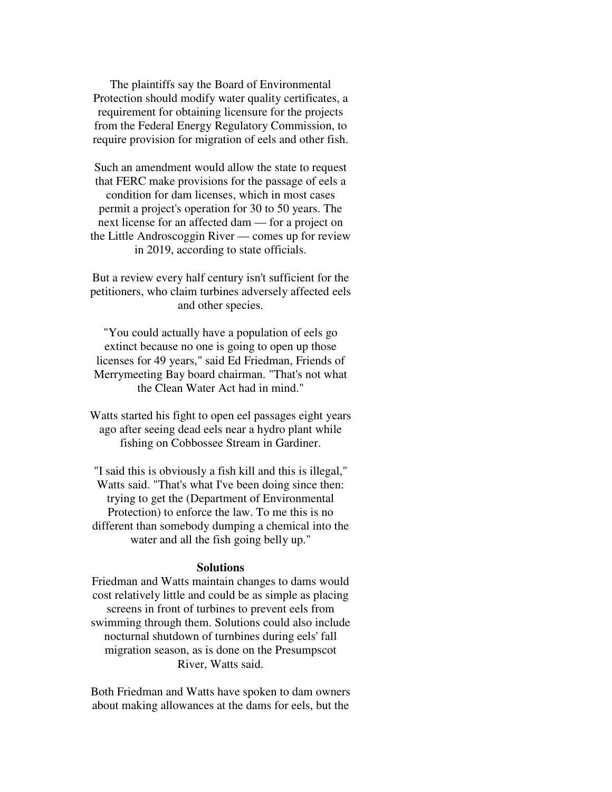The plaintiffs say the Board of Environmental Protection should modify water quality certificates, a requirement for obtaining licensure for the projects from the Federal Energy Regulatory Commission, to require provision for migration of eels and other fish.

Such an amendment would allow the state to request that FERC make provisions for the passage of eels a condition for dam licenses, which in most cases permit a project's operation for 30 to 50 years. The next license for an affected dam — for a project on the Little Androscoggin River — comes up for review in 2019, according to state officials.

But a review every half century isn't sufficient for the petitioners, who claim turbines adversely affected eels and other species.

"You could actually have a population of eels go extinct because no one is going to open up those licenses for 49 years," said Ed Friedman, Friends of Merrymeeting Bay board chairman. "That's not what the Clean Water Act had in mind."

Watts started his fight to open eel passages eight years ago after seeing dead eels near a hydro plant while fishing on Cobbossee Stream in Gardiner.

"I said this is obviously a fish kill and this is illegal," Watts said. "That's what I've been doing since then: trying to get the (Department of Environmental Protection) to enforce the law. To me this is no different than somebody dumping a chemical into the water and all the fish going belly up."

## **Solutions**

Friedman and Watts maintain changes to dams would cost relatively little and could be as simple as placing screens in front of turbines to prevent eels from swimming through them. Solutions could also include nocturnal shutdown of turnbines during eels' fall migration season, as is done on the Presumpscot River, Watts said.

Both Friedman and Watts have spoken to dam owners about making allowances at the dams for eels, but the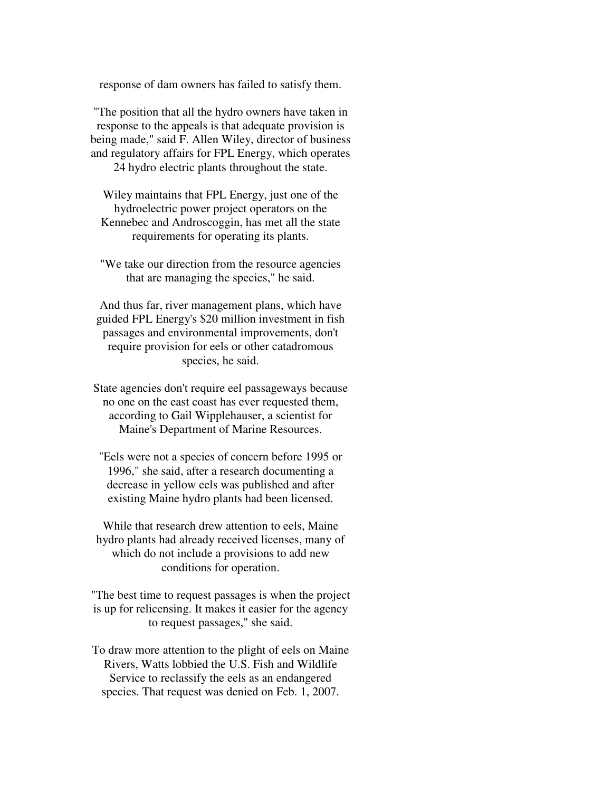response of dam owners has failed to satisfy them.

"The position that all the hydro owners have taken in response to the appeals is that adequate provision is being made," said F. Allen Wiley, director of business and regulatory affairs for FPL Energy, which operates 24 hydro electric plants throughout the state.

Wiley maintains that FPL Energy, just one of the hydroelectric power project operators on the Kennebec and Androscoggin, has met all the state requirements for operating its plants.

"We take our direction from the resource agencies that are managing the species," he said.

And thus far, river management plans, which have guided FPL Energy's \$20 million investment in fish passages and environmental improvements, don't require provision for eels or other catadromous species, he said.

State agencies don't require eel passageways because no one on the east coast has ever requested them, according to Gail Wipplehauser, a scientist for Maine's Department of Marine Resources.

"Eels were not a species of concern before 1995 or 1996," she said, after a research documenting a decrease in yellow eels was published and after existing Maine hydro plants had been licensed.

While that research drew attention to eels, Maine hydro plants had already received licenses, many of which do not include a provisions to add new conditions for operation.

"The best time to request passages is when the project is up for relicensing. It makes it easier for the agency to request passages," she said.

To draw more attention to the plight of eels on Maine Rivers, Watts lobbied the U.S. Fish and Wildlife Service to reclassify the eels as an endangered species. That request was denied on Feb. 1, 2007.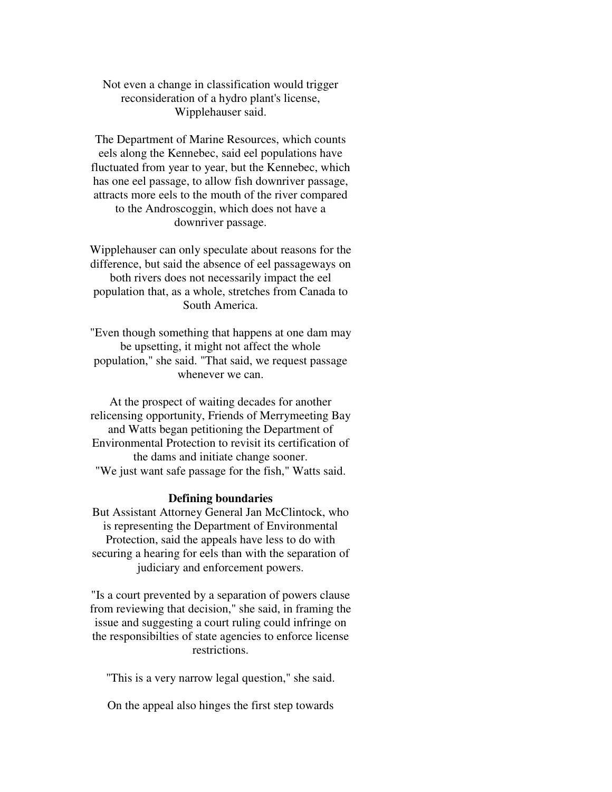Not even a change in classification would trigger reconsideration of a hydro plant's license, Wipplehauser said.

The Department of Marine Resources, which counts eels along the Kennebec, said eel populations have fluctuated from year to year, but the Kennebec, which has one eel passage, to allow fish downriver passage, attracts more eels to the mouth of the river compared to the Androscoggin, which does not have a downriver passage.

Wipplehauser can only speculate about reasons for the difference, but said the absence of eel passageways on both rivers does not necessarily impact the eel population that, as a whole, stretches from Canada to South America.

"Even though something that happens at one dam may be upsetting, it might not affect the whole population," she said. "That said, we request passage whenever we can.

At the prospect of waiting decades for another relicensing opportunity, Friends of Merrymeeting Bay and Watts began petitioning the Department of Environmental Protection to revisit its certification of the dams and initiate change sooner. "We just want safe passage for the fish," Watts said.

## **Defining boundaries**

But Assistant Attorney General Jan McClintock, who is representing the Department of Environmental Protection, said the appeals have less to do with securing a hearing for eels than with the separation of judiciary and enforcement powers.

"Is a court prevented by a separation of powers clause from reviewing that decision," she said, in framing the issue and suggesting a court ruling could infringe on the responsibilties of state agencies to enforce license restrictions.

"This is a very narrow legal question," she said.

On the appeal also hinges the first step towards